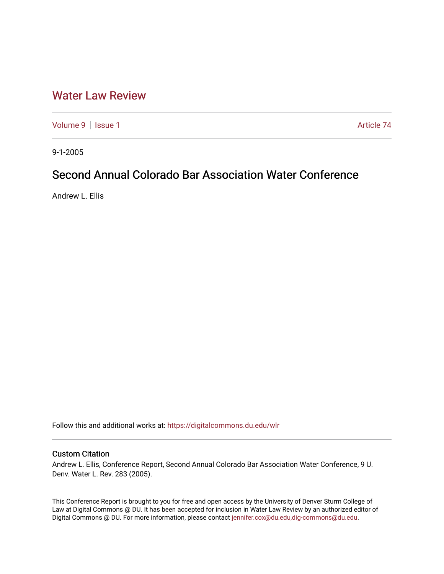## [Water Law Review](https://digitalcommons.du.edu/wlr)

[Volume 9](https://digitalcommons.du.edu/wlr/vol9) | [Issue 1](https://digitalcommons.du.edu/wlr/vol9/iss1) Article 74

9-1-2005

# Second Annual Colorado Bar Association Water Conference

Andrew L. Ellis

Follow this and additional works at: [https://digitalcommons.du.edu/wlr](https://digitalcommons.du.edu/wlr?utm_source=digitalcommons.du.edu%2Fwlr%2Fvol9%2Fiss1%2F74&utm_medium=PDF&utm_campaign=PDFCoverPages) 

### Custom Citation

Andrew L. Ellis, Conference Report, Second Annual Colorado Bar Association Water Conference, 9 U. Denv. Water L. Rev. 283 (2005).

This Conference Report is brought to you for free and open access by the University of Denver Sturm College of Law at Digital Commons @ DU. It has been accepted for inclusion in Water Law Review by an authorized editor of Digital Commons @ DU. For more information, please contact [jennifer.cox@du.edu,dig-commons@du.edu](mailto:jennifer.cox@du.edu,dig-commons@du.edu).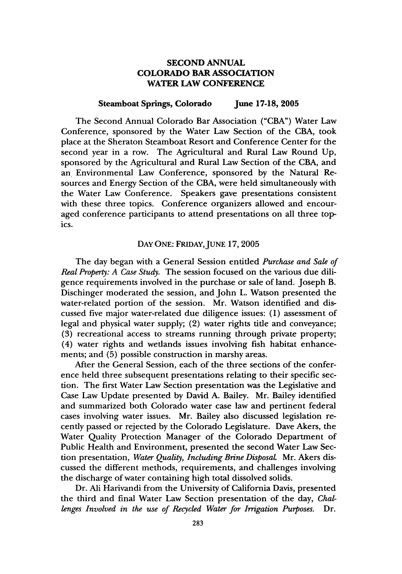#### **SECOND ANNUAL COLORADO BAR ASSOCIATION WATER LAW CONFERENCE**

#### **Steamboat Springs, Colorado June 17-18, 2005**

The Second Annual Colorado Bar Association **("CBA")** Water Law Conference, sponsored by the Water Law Section of the **CBA,** took place at the Sheraton Steamboat Resort and Conference Center for the second year in a row. The Agricultural and Rural Law Round **Up,** sponsored by the Agricultural and Rural Law Section of the **CBA,** and an Environmental Law Conference, sponsored by the Natural Resources and Energy Section of the **CBA,** were held simultaneously with the Water Law Conference. Speakers gave presentations consistent with these three topics. Conference organizers allowed and encouraged conference participants to attend presentations on all three topics.

#### **DAY ONE: FRIDAY, JUNE 17, 2005**

The day began with a General Session entitled *Purchase and Sale of Real Property: A Case Study.* The session focused on the various due diligence requirements involved in the purchase or sale of land. Joseph B. Dischinger moderated the session, and John L. Watson presented the water-related portion of the session. Mr. Watson identified and discussed five major water-related due diligence issues: **(1)** assessment of legal and physical water supply; (2) water rights title and conveyance; **(3)** recreational access to streams running through private property; (4) water rights and wetlands issues involving fish habitat enhancements; and **(5)** possible construction in marshy areas.

After the General Session, each of the three sections of the conference held three subsequent presentations relating to their specific section. The first Water Law Section presentation was the Legislative and Case Law Update presented by David **A.** Bailey. Mr. Bailey identified and summarized both Colorado water case law and pertinent federal cases involving water issues. Mr. Bailey also discussed legislation recently passed or rejected by the Colorado Legislature. Dave Akers, the Water Quality Protection Manager of the Colorado Department of Public Health and Environment, presented the second Water Law Section presentation, *Water Quality, Including Brine Disposal.* Mr. Akers discussed the different methods, requirements, and challenges involving the discharge of water containing high total dissolved solids.

Dr. Ali Harivandi from the University of California Davis, presented the third and final Water Law Section presentation of the day, *Challenges Involved in the use of Recycled Water for Irrigation Purposes.* Dr.